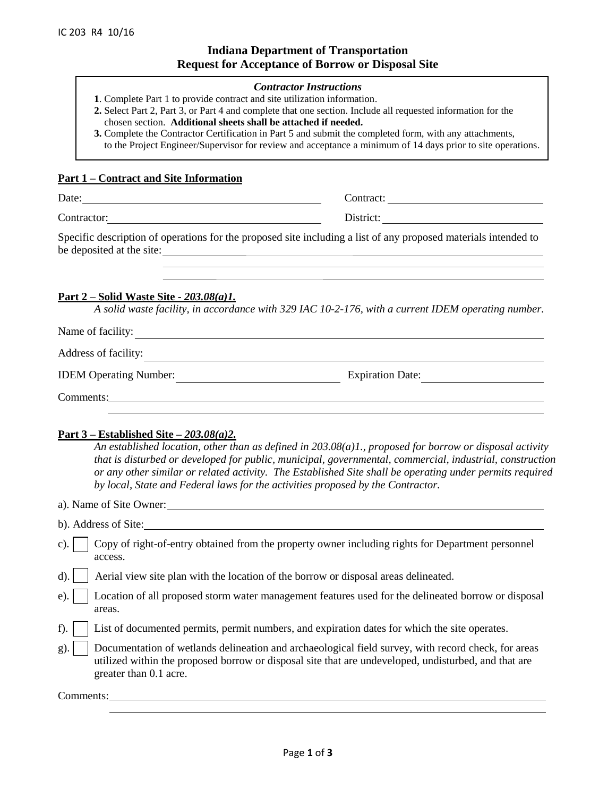# **Indiana Department of Transportation Request for Acceptance of Borrow or Disposal Site**

#### *Contractor Instructions*

- **1**. Complete Part 1 to provide contract and site utilization information.
- **2.** Select Part 2, Part 3, or Part 4 and complete that one section. Include all requested information for the chosen section. **Additional sheets shall be attached if needed.**
- **3.** Complete the Contractor Certification in Part 5 and submit the completed form, with any attachments, to the Project Engineer/Supervisor for review and acceptance a minimum of 14 days prior to site operations.

#### **Part 1 – Contract and Site Information**

| Date           | . <del>.</del><br>$\sim$ |
|----------------|--------------------------|
| $\sim$<br>ำ∩nt | .                        |

Specific description of operations for the proposed site including a list of any proposed materials intended to be deposited at the site:

#### **Part 2 – Solid Waste Site -** *203.08(a)1.*

*A solid waste facility, in accordance with 329 IAC 10-2-176, with a current IDEM operating number.*

| Name of facility:             |                         |
|-------------------------------|-------------------------|
| Address of facility:          |                         |
| <b>IDEM</b> Operating Number: | <b>Expiration Date:</b> |
| Comments:                     |                         |

#### **Part 3 – Established Site** *– 203.08(a)2.*

*An established location, other than as defined in 203.08(a)1., proposed for borrow or disposal activity that is disturbed or developed for public, municipal, governmental, commercial, industrial, construction or any other similar or related activity. The Established Site shall be operating under permits required by local, State and Federal laws for the activities proposed by the Contractor.*

a). Name of Site Owner:

- b). Address of Site:
- c). Copy of right-of-entry obtained from the property owner including rights for Department personnel access.
- d).  $\vert$  Aerial view site plan with the location of the borrow or disposal areas delineated.
- e). Location of all proposed storm water management features used for the delineated borrow or disposal areas.
- f). List of documented permits, permit numbers, and expiration dates for which the site operates.
- g). Documentation of wetlands delineation and archaeological field survey, with record check, for areas utilized within the proposed borrow or disposal site that are undeveloped, undisturbed, and that are greater than 0.1 acre.

Comments: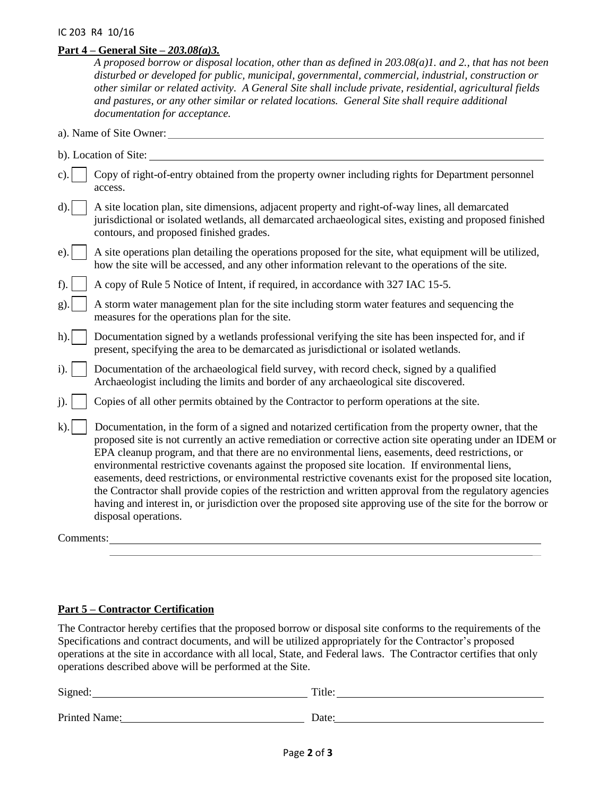## **Part 4 – General Site** *– 203.08(a)3.*

*A proposed borrow or disposal location, other than as defined in 203.08(a)1. and 2., that has not been disturbed or developed for public, municipal, governmental, commercial, industrial, construction or other similar or related activity. A General Site shall include private, residential, agricultural fields and pastures, or any other similar or related locations. General Site shall require additional documentation for acceptance.*

- a). Name of Site Owner:
- b). Location of Site:
- c). Copy of right-of-entry obtained from the property owner including rights for Department personnel access.
- d). A site location plan, site dimensions, adjacent property and right-of-way lines, all demarcated jurisdictional or isolated wetlands, all demarcated archaeological sites, existing and proposed finished contours, and proposed finished grades.
- e).  $\parallel$  A site operations plan detailing the operations proposed for the site, what equipment will be utilized, how the site will be accessed, and any other information relevant to the operations of the site.
- f). A copy of Rule 5 Notice of Intent, if required, in accordance with 327 IAC 15-5.
- g).  $\parallel$  A storm water management plan for the site including storm water features and sequencing the measures for the operations plan for the site.
- h). Documentation signed by a wetlands professional verifying the site has been inspected for, and if present, specifying the area to be demarcated as jurisdictional or isolated wetlands.
- i). Documentation of the archaeological field survey, with record check, signed by a qualified Archaeologist including the limits and border of any archaeological site discovered.
- j). Copies of all other permits obtained by the Contractor to perform operations at the site.
- k). Documentation, in the form of a signed and notarized certification from the property owner, that the proposed site is not currently an active remediation or corrective action site operating under an IDEM or EPA cleanup program, and that there are no environmental liens, easements, deed restrictions, or environmental restrictive covenants against the proposed site location. If environmental liens, easements, deed restrictions, or environmental restrictive covenants exist for the proposed site location, the Contractor shall provide copies of the restriction and written approval from the regulatory agencies having and interest in, or jurisdiction over the proposed site approving use of the site for the borrow or disposal operations.

Comments:

## **Part 5 – Contractor Certification**

The Contractor hereby certifies that the proposed borrow or disposal site conforms to the requirements of the Specifications and contract documents, and will be utilized appropriately for the Contractor's proposed operations at the site in accordance with all local, State, and Federal laws. The Contractor certifies that only operations described above will be performed at the Site.

| Signed:       | Title: |
|---------------|--------|
| Printed Name: | Date:  |